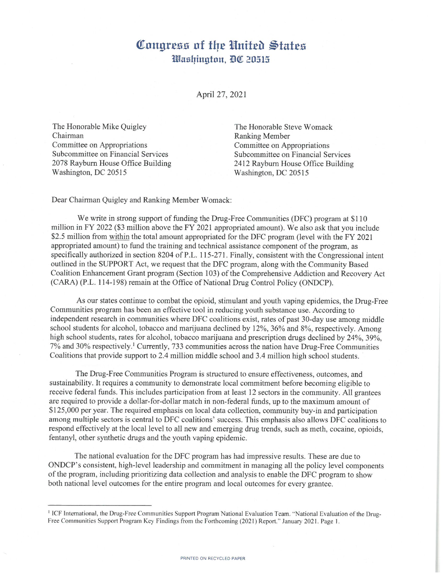## Congress of the United States Washington, DC 20515

April 27, 2021

The Honorable Mike Quigley Chairman Committee on Appropriations Subcommittee on Financial Services 2078 Rayburn House Office Building Washington, DC 20515

The Honorable Steve Womack **Ranking Member** Committee on Appropriations Subcommittee on Financial Services 2412 Rayburn House Office Building Washington, DC 20515

Dear Chairman Quigley and Ranking Member Womack:

We write in strong support of funding the Drug-Free Communities (DFC) program at \$110 million in FY 2022 (\$3 million above the FY 2021 appropriated amount). We also ask that you include \$2.5 million from within the total amount appropriated for the DFC program (level with the FY 2021 appropriated amount) to fund the training and technical assistance component of the program, as specifically authorized in section 8204 of P.L. 115-271. Finally, consistent with the Congressional intent outlined in the SUPPORT Act, we request that the DFC program, along with the Community Based Coalition Enhancement Grant program (Section 103) of the Comprehensive Addiction and Recovery Act (CARA) (P.L. 114-198) remain at the Office of National Drug Control Policy (ONDCP).

As our states continue to combat the opioid, stimulant and youth vaping epidemics, the Drug-Free Communities program has been an effective tool in reducing youth substance use. According to independent research in communities where DFC coalitions exist, rates of past 30-day use among middle school students for alcohol, tobacco and marijuana declined by 12%, 36% and 8%, respectively. Among high school students, rates for alcohol, tobacco marijuana and prescription drugs declined by 24%, 39%, 7% and 30% respectively.<sup>1</sup> Currently, 733 communities across the nation have Drug-Free Communities Coalitions that provide support to 2.4 million middle school and 3.4 million high school students.

The Drug-Free Communities Program is structured to ensure effectiveness, outcomes, and sustainability. It requires a community to demonstrate local commitment before becoming eligible to receive federal funds. This includes participation from at least 12 sectors in the community. All grantees are required to provide a dollar-for-dollar match in non-federal funds, up to the maximum amount of \$125,000 per year. The required emphasis on local data collection, community buy-in and participation among multiple sectors is central to DFC coalitions' success. This emphasis also allows DFC coalitions to respond effectively at the local level to all new and emerging drug trends, such as meth, cocaine, opioids, fentanyl, other synthetic drugs and the youth vaping epidemic.

The national evaluation for the DFC program has had impressive results. These are due to ONDCP's consistent, high-level leadership and commitment in managing all the policy level components of the program, including prioritizing data collection and analysis to enable the DFC program to show both national level outcomes for the entire program and local outcomes for every grantee.

<sup>&</sup>lt;sup>1</sup> ICF International, the Drug-Free Communities Support Program National Evaluation Team. "National Evaluation of the Drug-Free Communities Support Program Key Findings from the Forthcoming (2021) Report." January 2021. Page 1.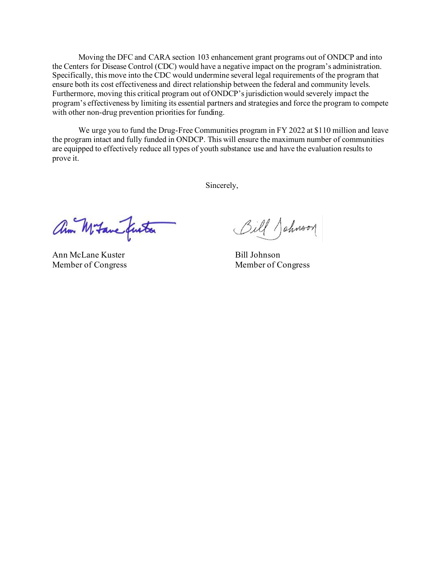Moving the DFC and CARA section 103 enhancement grant programs out of ONDCP and into the Centers for Disease Control (CDC) would have a negative impact on the program's administration. Specifically, this move into the CDC would undermine several legal requirements of the program that ensure both its cost effectiveness and direct relationship between the federal and community levels. Furthermore, moving this critical program out of ONDCP's jurisdiction would severely impact the program's effectiveness by limiting its essential partners and strategies and force the program to compete with other non-drug prevention priorities for funding.

We urge you to fund the Drug-Free Communities program in FY 2022 at \$110 million and leave the program intact and fully funded in ONDCP. This will ensure the maximum number of communities are equipped to effectively reduce all types of youth substance use and have the evaluation results to prove it.

Sincerely,

ann Mitane furta

Ann McLane Kuster Bill Johnson

Bill Johnson

Member of Congress Member of Congress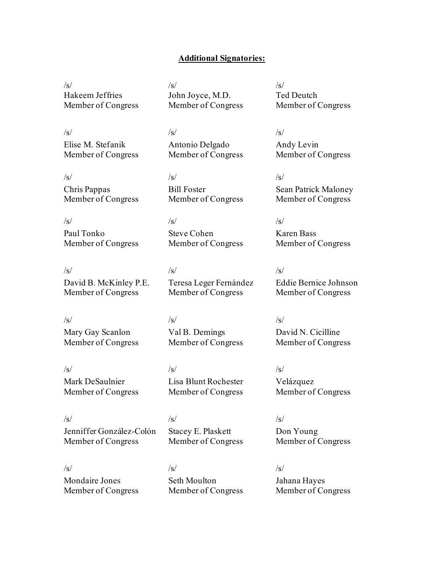## **Additional Signatories:**

 $\sqrt{s}$ Hakeem Jeffries Member of Congress  $/s/$ John Joyce, M.D. Member of Congress

Antonio Delgado Member of Congress

Member of Congress

Member of Congress

Teresa Leger Fernández Member of Congress

Bill Foster

Steve Cohen

 $\sqrt{s}/\sqrt{s}$ /s/ Elise M. Stefanik Member of Congress

 $\sqrt{s}/\sqrt{s}$ /s/ Chris Pappas Member of Congress

 $\sqrt{s}/\sqrt{s}$ /s/ Paul Tonko Member of Congress

 $\sqrt{s}/\sqrt{s}$ /s/ David B. McKinley P.E. Member of Congress

 $\sqrt{s}/\sqrt{s}$ /s/ Mary Gay Scanlon Member of Congress

Mark DeSaulnier Member of Congress

 $\sqrt{s}}/s$  /s/ Lisa Blunt Rochester Member of Congress

Val B. Demings Member of Congress

 $\sqrt{s}}/s$  /s/ Jenniffer González-Colón Member of Congress

Stacey E. Plaskett Member of Congress

 $\sqrt{s}}/s$  /s/ Mondaire Jones Member of Congress

Seth Moulton Member of Congress  $\sqrt{s}$ Ted Deutch Member of Congress

Andy Levin Member of Congress

Sean Patrick Maloney Member of Congress

Karen Bass Member of Congress

Eddie Bernice Johnson Member of Congress

David N. Cicilline Member of Congress

Velázquez Member of Congress

Don Young Member of Congress

Jahana Hayes Member of Congress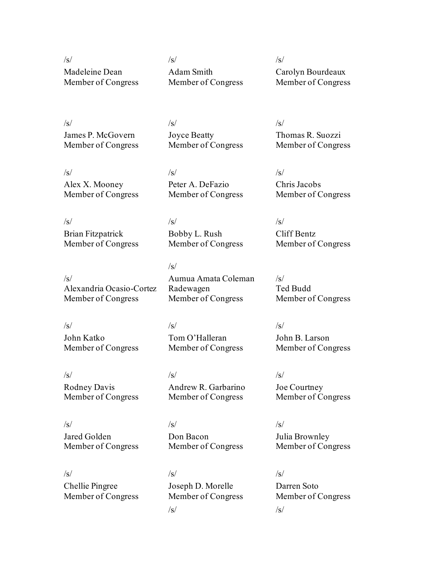Madeleine Dean Member of Congress

 $\sqrt{s}/\sqrt{s}$ /s/ Adam Smith Member of Congress

Carolyn Bourdeaux Member of Congress

James P. McGovern Member of Congress

 $\sqrt{s}}/s$  /s/ Joyce Beatty Member of Congress

 $\sqrt{s}}/s$  /s/ Alex X. Mooney Member of Congress

Peter A. DeFazio Member of Congress

Member of Congress

Aumua Amata Coleman

Member of Congress

Tom O'Halleran Member of Congress

Bobby L. Rush

Radewagen

 $/s/$ 

 $\sqrt{s}}/s$  /s/ Brian Fitzpatrick Member of Congress

/s/ Alexandria Ocasio-Cortez Member of Congress

 $\sqrt{s}/\sqrt{s}$ /s/ John Katko Member of Congress

 $\sqrt{s}/\sqrt{s}$ /s/ Rodney Davis Member of Congress

Jared Golden Member of Congress

 $\sqrt{s}/\sqrt{s}$ /s/ Don Bacon Member of Congress

Andrew R. Garbarino Member of Congress

 $\sqrt{s}/\sqrt{s}$ /s/ Chellie Pingree Member of Congress

Joseph D. Morelle Member of Congress  $\sqrt{s}$ / $\sqrt{s}$ / $\sqrt{s}$ / $\sqrt{s}$ / $\sqrt{s}$ / $\sqrt{s}$ / $\sqrt{s}$ / $\sqrt{s}$ / $\sqrt{s}$ / $\sqrt{s}$ / $\sqrt{s}$ / $\sqrt{s}$ / $\sqrt{s}$ / $\sqrt{s}$ / $\sqrt{s}$ / $\sqrt{s}$ / $\sqrt{s}$ / $\sqrt{s}$ / $\sqrt{s}$ / $\sqrt{s}$ / $\sqrt{s}$ / $\sqrt{s}$ / $\sqrt{s}$ / $\sqrt{s}$ / $\sqrt{s}$ / $\sqrt{s}$ / $\sqrt{s}$ / $\sqrt{s}$ / $\sqrt{s}$ / $\sqrt{s}$ / $\sqrt{s}$ / $\sqrt{s$ 

Thomas R. Suozzi Member of Congress

Chris Jacobs Member of Congress

Cliff Bentz Member of Congress

 $\sqrt{s}$ Ted Budd Member of Congress

John B. Larson Member of Congress

Joe Courtney Member of Congress

Julia Brownley Member of Congress

Darren Soto Member of Congress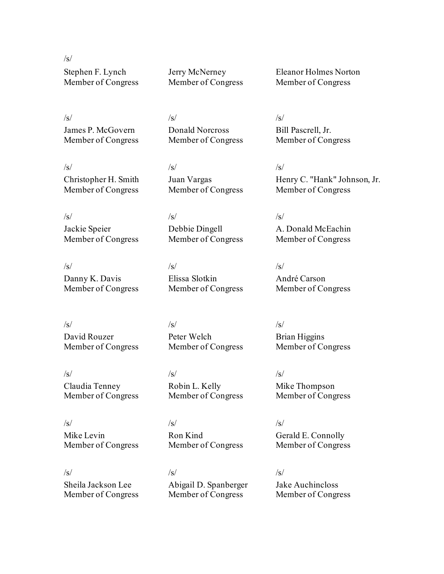$\sqrt{s}$ Stephen F. Lynch Member of Congress

James P. McGovern Member of Congress Jerry McNerney Member of Congress

 $\sqrt{s}/\sqrt{s}$ /s/ Donald Norcross Member of Congress

 $\sqrt{s}/\sqrt{s}$ /s/ Juan Vargas Member of Congress

Debbie Dingell

Elissa Slotkin

Member of Congress

 $\sqrt{s}/\sqrt{s}$ /s/ Jackie Speier Member of Congress

Christopher H. Smith Member of Congress

 $\sqrt{s}/\sqrt{s}$ /s/ Danny K. Davis Member of Congress

David Rouzer

Member of Congress

 $\sqrt{s}/\sqrt{s}$ /s/ Peter Welch Member of Congress

Claudia Tenney Member of Congress

Member of Congress

 $\sqrt{s}/\sqrt{s}$ /s/ Mike Levin Member of Congress

Sheila Jackson Lee Member of Congress

 $\sqrt{s}/\sqrt{s}$ /s/ Abigail D. Spanberger Member of Congress

Member of Congress

Eleanor Holmes Norton Member of Congress

Bill Pascrell, Jr. Member of Congress

Henry C. "Hank" Johnson, Jr. Member of Congress

A. Donald McEachin Member of Congress

André Carson Member of Congress

Brian Higgins Member of Congress

Mike Thompson Member of Congress

Gerald E. Connolly Member of Congress

Jake Auchincloss Member of Congress

Ron Kind

 $\sqrt{s}/\sqrt{s}$ /s/

Robin L. Kelly Member of Congress